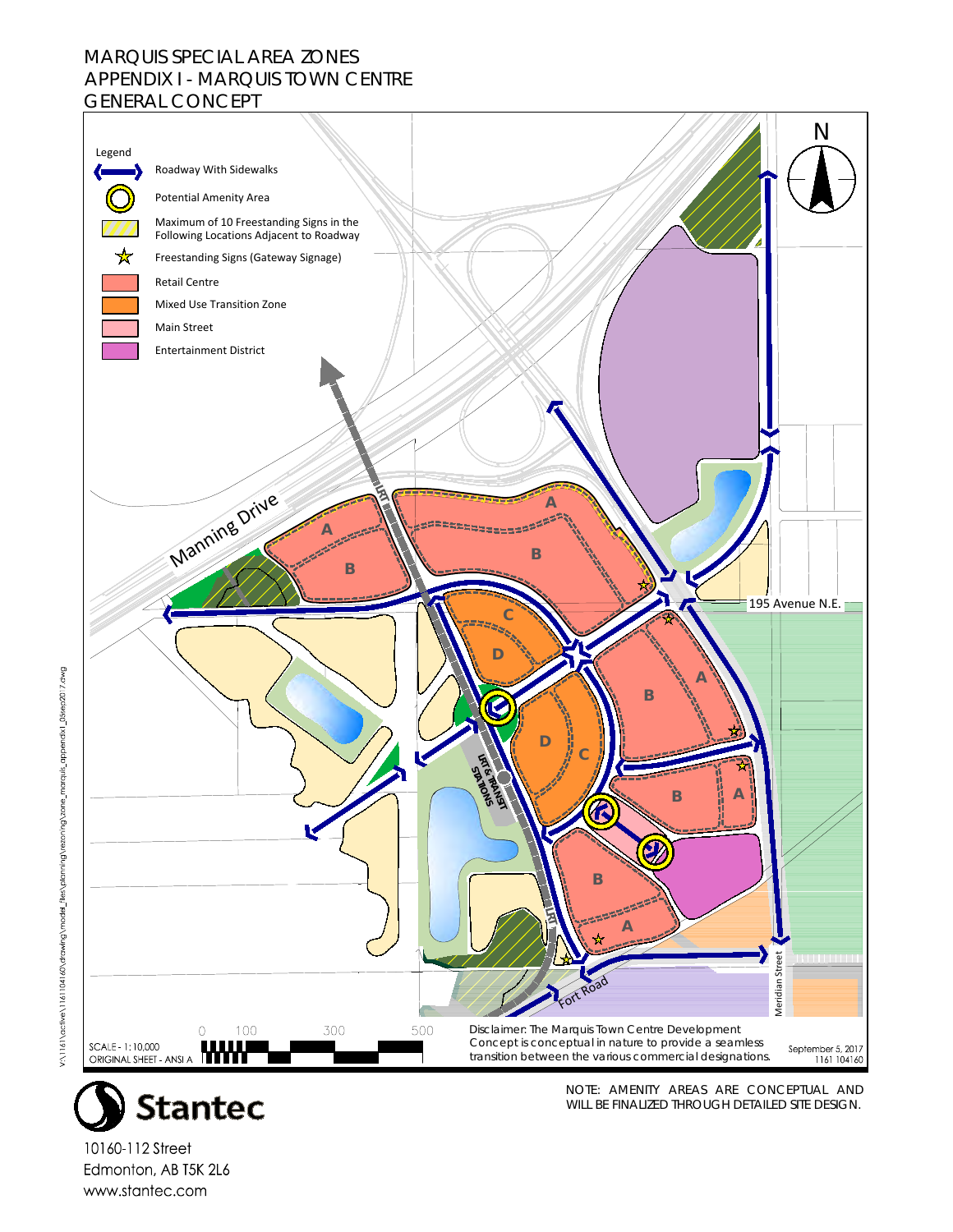## MARQUIS SPECIAL AREA ZONES APPENDIX I - MARQUIS TOWN CENTRE GENERAL CONCEPT





NOTE: AMENITY AREAS ARE CONCEPTUAL AND WILL BE FINALIZED THROUGH DETAILED SITE DESIGN.

10160-112 Street Edmonton, AB T5K 2L6 www.stantec.com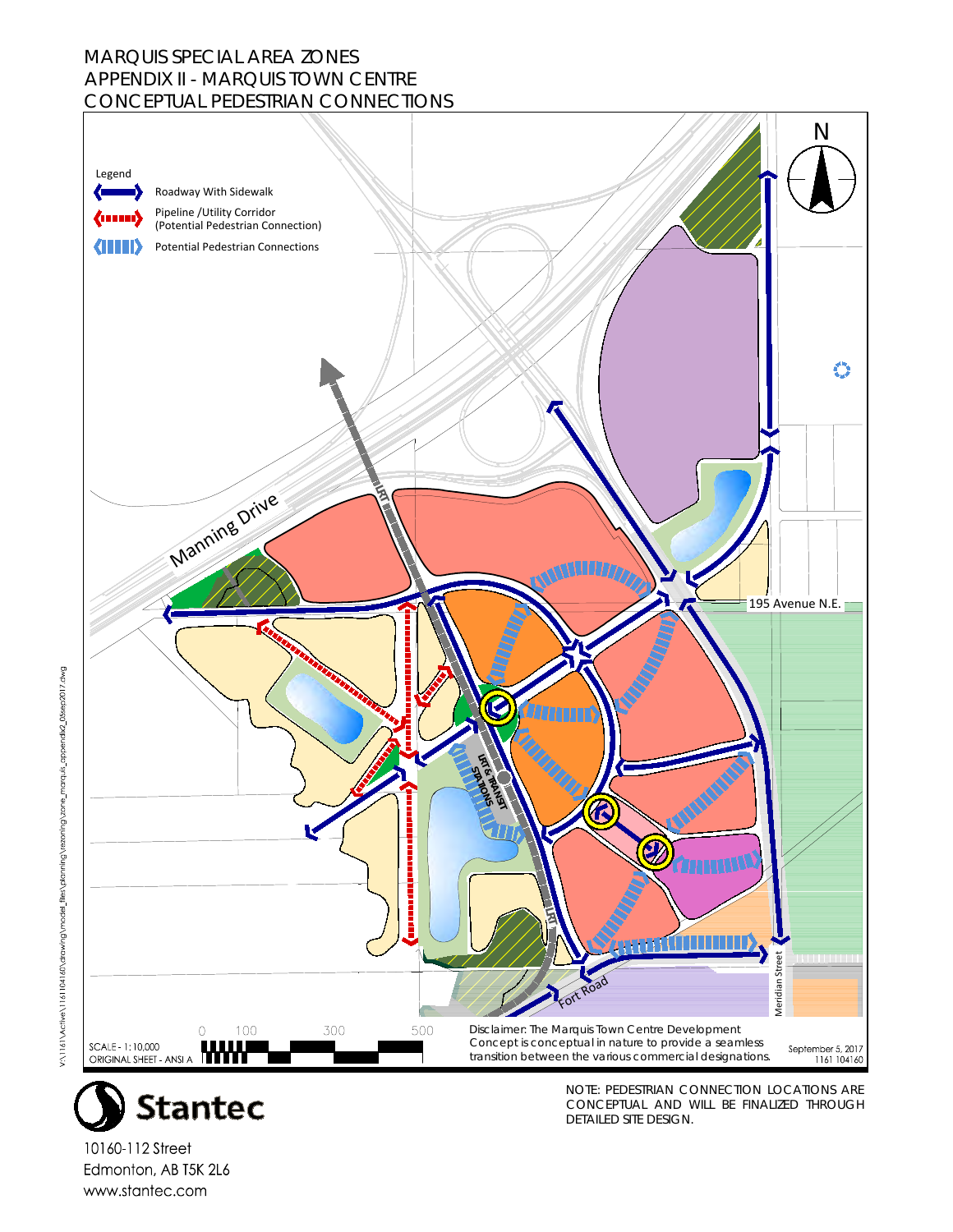## MARQUIS SPECIAL AREA ZONES APPENDIX II - MARQUIS TOWN CENTRE CONCEPTUAL PEDESTRIAN CONNECTIONS





NOTE: PEDESTRIAN CONNECTION LOCATIONS ARE CONCEPTUAL AND WILL BE FINALIZED THROUGH DETAILED SITE DESIGN.

10160-112 Street Edmonton, AB T5K 2L6 www.stantec.com